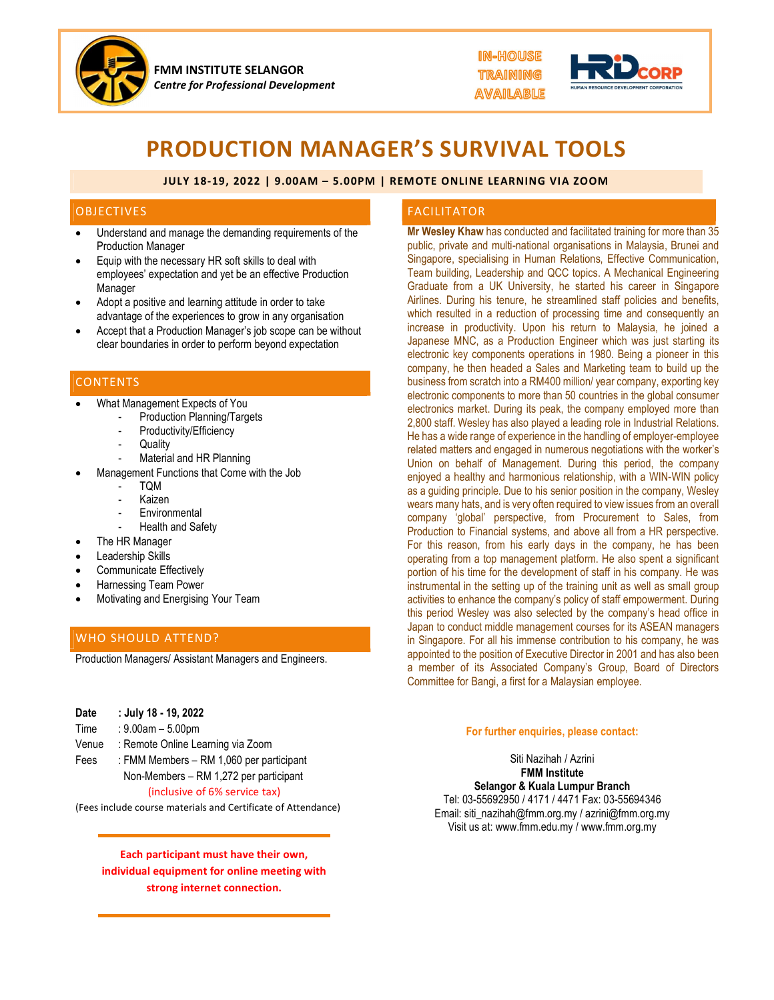

FMM INSTITUTE SELANGOR Centre for Professional Development



# PRODUCTION MANAGER'S SURVIVAL TOOLS

#### JULY 18-19, 2022 | 9.00AM – 5.00PM | REMOTE ONLINE LEARNING VIA ZOOM

#### OBJECTIVES

- Understand and manage the demanding requirements of the Production Manager
- Equip with the necessary HR soft skills to deal with employees' expectation and yet be an effective Production Manager
- Adopt a positive and learning attitude in order to take advantage of the experiences to grow in any organisation
- Accept that a Production Manager's job scope can be without clear boundaries in order to perform beyond expectation

#### **CONTENTS**

- What Management Expects of You<br>- Production Planning/Targets<br>- Productivity/Efficiency<br>- Quality<br>- Material and HR Planning
	-
	-
	-
	-
- Management Functions that Come with the Job<br>- TQM<br>- Kaizen<br>- Environmental<br>- Health and Safety
	-
	-
	-
	-
- The HR Manager
- Leadership Skills
- Communicate Effectively
- Harnessing Team Power
- Motivating and Energising Your Team

## WHO SHOULD ATTEND?

Production Managers/ Assistant Managers and Engineers.

| Date<br>Time | : July 18 - 19, 2022<br>: $9.00$ am – $5.00$ pm |
|--------------|-------------------------------------------------|
| Venue        | : Remote Online Learning via Zoom               |
| Fees         | : FMM Members – RM 1,060 per participant        |
|              | Non-Members – RM 1,272 per participant          |
|              | (inclusive of 6% service tax)                   |

(Fees include course materials and Certificate of Attendance)

## Each participant must have their own, individual equipment for online meeting with strong internet connection.

#### FACILITATOR

Mr Wesley Khaw has conducted and facilitated training for more than 35 public, private and multi-national organisations in Malaysia, Brunei and Singapore, specialising in Human Relations, Effective Communication, Team building, Leadership and QCC topics. A Mechanical Engineering Graduate from a UK University, he started his career in Singapore Airlines. During his tenure, he streamlined staff policies and benefits, which resulted in a reduction of processing time and consequently an increase in productivity. Upon his return to Malaysia, he joined a Japanese MNC, as a Production Engineer which was just starting its electronic key components operations in 1980. Being a pioneer in this company, he then headed a Sales and Marketing team to build up the business from scratch into a RM400 million/ year company, exporting key electronic components to more than 50 countries in the global consumer electronics market. During its peak, the company employed more than 2,800 staff. Wesley has also played a leading role in Industrial Relations. He has a wide range of experience in the handling of employer-employee related matters and engaged in numerous negotiations with the worker's Union on behalf of Management. During this period, the company enjoyed a healthy and harmonious relationship, with a WIN-WIN policy as a guiding principle. Due to his senior position in the company, Wesley wears many hats, and is very often required to view issues from an overall company 'global' perspective, from Procurement to Sales, from Production to Financial systems, and above all from a HR perspective. For this reason, from his early days in the company, he has been operating from a top management platform. He also spent a significant portion of his time for the development of staff in his company. He was instrumental in the setting up of the training unit as well as small group activities to enhance the company's policy of staff empowerment. During this period Wesley was also selected by the company's head office in Japan to conduct middle management courses for its ASEAN managers in Singapore. For all his immense contribution to his company, he was appointed to the position of Executive Director in 2001 and has also been a member of its Associated Company's Group, Board of Directors Committee for Bangi, a first for a Malaysian employee.

#### For further enquiries, please contact:

Siti Nazihah / Azrini FMM Institute Selangor & Kuala Lumpur Branch Tel: 03-55692950 / 4171 / 4471 Fax: 03-55694346 Email: siti\_nazihah@fmm.org.my / azrini@fmm.org.my Visit us at: www.fmm.edu.my / www.fmm.org.my